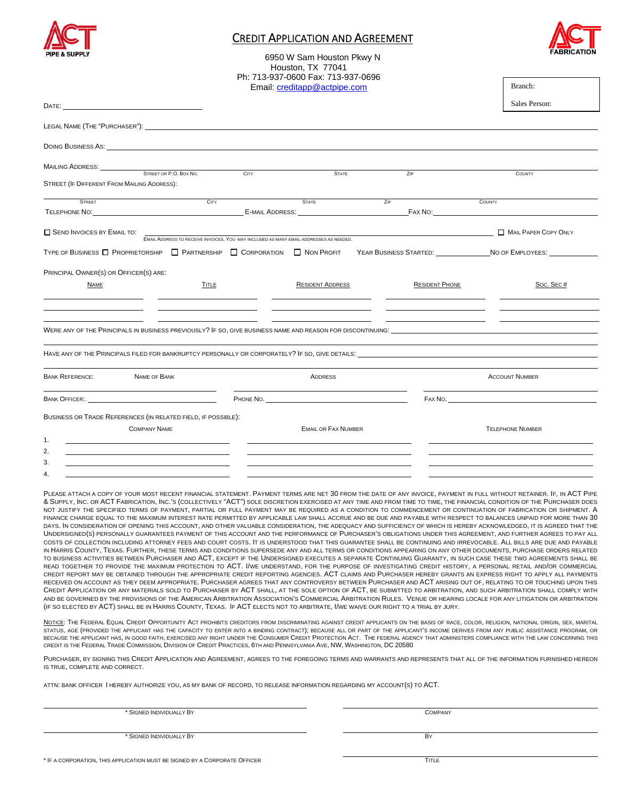

### CREDIT APPLICATION AND AGREEMENT



Branch:

6950 W Sam Houston Pkwy N Houston, TX 77041 Ph: 713-937-0600 Fax: 713-937-0696 Email: creditapp@actpipe.com

|                                                                                                                                                                                                                                      |       |                                                                                                                                                                                                                                     |                       | Sales Person:                           |
|--------------------------------------------------------------------------------------------------------------------------------------------------------------------------------------------------------------------------------------|-------|-------------------------------------------------------------------------------------------------------------------------------------------------------------------------------------------------------------------------------------|-----------------------|-----------------------------------------|
|                                                                                                                                                                                                                                      |       |                                                                                                                                                                                                                                     |                       |                                         |
| DOING BUSINESS AS: WE ARREST AND THE STATE OF THE STATE OF THE STATE OF THE STATE OF THE STATE OF THE STATE OF THE STATE OF THE STATE OF THE STATE OF THE STATE OF THE STATE OF THE STATE OF THE STATE OF THE STATE OF THE STA       |       |                                                                                                                                                                                                                                     |                       |                                         |
| MAILING ADDRESS: STREET OR P.O. BOX NO.                                                                                                                                                                                              | CITY  |                                                                                                                                                                                                                                     |                       |                                         |
| STREET (IF DIFFERENT FROM MAILING ADDRESS):                                                                                                                                                                                          |       | <b>STATE</b>                                                                                                                                                                                                                        | <b>ZIP</b>            | COUNTY                                  |
| <b>STRFFT</b>                                                                                                                                                                                                                        | CITY  | <b>STATE</b>                                                                                                                                                                                                                        | ZIP                   | COUNTY                                  |
|                                                                                                                                                                                                                                      |       |                                                                                                                                                                                                                                     |                       |                                         |
| SEND INVOICES BY EMAIL TO:                                                                                                                                                                                                           |       | <b>EMAIL ADDRESS TO RECEIVE INVOICES. YOU MAY INCLUDED AS MANY EMAIL ADDRESSES AS NEEDED.</b>                                                                                                                                       |                       | MAIL PAPER COPY ONLY                    |
| TYPE OF BUSINESS TT PROPRIETORSHIP TT PARTNERSHIP TT CORPORATION TT NON PROFIT                                                                                                                                                       |       |                                                                                                                                                                                                                                     |                       | YEAR BUSINESS STARTED: NO OF EMPLOYEES: |
| PRINCIPAL OWNER(S) OR OFFICER(S) ARE:                                                                                                                                                                                                |       |                                                                                                                                                                                                                                     |                       |                                         |
| <b>NAME</b>                                                                                                                                                                                                                          | TITLE | <b>RESIDENT ADDRESS</b>                                                                                                                                                                                                             | <b>RESIDENT PHONE</b> | Soc. Sec#                               |
|                                                                                                                                                                                                                                      |       |                                                                                                                                                                                                                                     |                       |                                         |
| WERE ANY OF THE PRINCIPALS IN BUSINESS PREVIOUSLY? IF SO, GIVE BUSINESS NAME AND REASON FOR DISCONTINUING:                                                                                                                           |       |                                                                                                                                                                                                                                     |                       |                                         |
| HAVE ANY OF THE PRINCIPALS FILED FOR BANKRUPTCY PERSONALLY OR CORPORATELY? IF SO, GIVE DETAILS: <b>The CONDUCT OF A SAMPLE ASSAMPLE ASSAMPLE ASSAMPLE ASSAMPLE ASSAMPLE ASSAMPLE ASSAMPLE ASSAMPLE ASSAMPLE ASSAMPLE ASSAMPLE AS</b> |       |                                                                                                                                                                                                                                     |                       |                                         |
| <b>BANK REFERENCE:</b><br>NAME OF BANK                                                                                                                                                                                               |       | <b>ADDRESS</b>                                                                                                                                                                                                                      |                       | <b>ACCOUNT NUMBER</b>                   |
| BANK OFFICER                                                                                                                                                                                                                         |       | <b>PHONE NO.</b> The state of the state of the state of the state of the state of the state of the state of the state of the state of the state of the state of the state of the state of the state of the state of the state of th |                       |                                         |
| BUSINESS OR TRADE REFERENCES (IN RELATED FIELD, IF POSSIBLE):                                                                                                                                                                        |       |                                                                                                                                                                                                                                     |                       |                                         |
| <b>COMPANY NAME</b>                                                                                                                                                                                                                  |       | <b>EMAIL OR FAX NUMBER</b>                                                                                                                                                                                                          |                       | <b>TELEPHONE NUMBER</b>                 |
| 1.                                                                                                                                                                                                                                   |       |                                                                                                                                                                                                                                     |                       |                                         |
| 2.<br>the contract of the contract of the contract of the contract of the contract of                                                                                                                                                |       |                                                                                                                                                                                                                                     |                       |                                         |
| 3.<br>4                                                                                                                                                                                                                              |       |                                                                                                                                                                                                                                     |                       |                                         |
|                                                                                                                                                                                                                                      |       |                                                                                                                                                                                                                                     |                       |                                         |

PLEASE ATTACH A COPY OF YOUR MOST RECENT FINANCIAL STATEMENT. PAYMENT TERMS ARE NET 30 FROM THE DATE OF ANY INVOICE, PAYMENT IN FULL WITHOUT RETAINER. IF, IN ACT PIPE & SUPPLY, INC. OR ACT FABRICATION, INC.'S (COLLECTIVELY "ACT") SOLE DISCRETION EXERCISED AT ANY TIME AND FROM TIME TO TIME, THE FINANCIAL CONDITION OF THE PURCHASER DOES NOT JUSTIFY THE SPECIFIED TERMS OF PAYMENT. PARTIAL OR FULL PAYMENT MAY BE REQUIRED AS A CONDITION TO COMMENCEMENT OR CONTINUATION OF FABRICATION OR SHIPMENT. A FINANCE CHARGE EQUAL TO THE MAXIMUM INTEREST RATE PERMITTED BY APPLICABLE LAW SHALL ACCRUE AND BE DUE AND PAYABLE WITH RESPECT TO BALANCES UNPAID FOR MORE THAN 30 DAYS. IN CONSIDERATION OF OPENING THIS ACCOUNT, AND OTHER VALUABLE CONSIDERATION. THE ADEQUACY AND SUFFICIENCY OF WHICH IS HEREBY ACKNOWLEDGED, IT IS AGREED THAT THE UNDERSIGNED(S) PERSONALLY GUARANTEES PAYMENT OF THIS ACCOUNT AND THE PERFORMANCE OF PURCHASER'S OBLIGATIONS UNDER THIS AGREEMENT, AND FURTHER AGREES TO PAY ALL COSTS OF COLLECTION INCLUDING ATTORNEY FEES AND COURT COSTS. IT IS UNDERSTOOD THAT THIS GUARANTEE SHALL BE CONTINUING AND IRREVOCABLE. ALL BILLS ARE DUE AND PAYABLE IN HARRIS COUNTY, TEXAS. FURTHER, THESE TERMS AND CONDITIONS SUPERSEDE ANY AND ALL TERMS OR CONDITIONS APPEARING ON ANY OTHER DOCUMENTS, PURCHASE ORDERS RELATED TO BUSINESS ACTIVITIES BETWEEN PURCHASER AND ACT, EXCEPT IF THE UNDERSIGNED EXECUTES A SEPARATE CONTINUING GUARANTY, IN SUCH CASE THESE TWO AGREEMENTS SHALL BE READ TOGETHER TO PROVIDE THE MAXIMUM PROTECTION TO ACT. I/WE UNDERSTAND, FOR THE PURPOSE OF INVESTIGATING CREDIT HISTORY, A PERSONAL RETAIL AND/OR COMMERCIAL CREDIT REPORT MAY BE OBTAINED THROUGH THE APPROPRIATE CREDIT REPORTING AGENCIES. ACT CLAIMS AND PURCHASER HEREBY GRANTS AN EXPRESS RIGHT TO APPLY ALL PAYMENTS RECEIVED ON ACCOUNT AS THEY DEEM APPROPRIATE. PURCHASER AGREES THAT ANY CONTROVERSY BETWEEN PURCHASER AND ACT ARISING OUT OF, RELATING TO OR TOUCHING UPON THIS CREDIT APPLICATION OR ANY MATERIALS SOLD TO PURCHASER BY ACT SHALL, AT THE SOLE OPTION OF ACT, BE SUBMITTED TO ARBITRATION, AND SUCH ARBITRATION SHALL COMPLY WITH AND BE GOVERNED BY THE PROVISIONS OF THE AMERICAN ARBITRATION ASSOCIATION'S COMMERCIAL ARBITRATION RULES. VENUE OR HEARING LOCALE FOR ANY LITIGATION OR ARBITRATION (IF SO ELECTED BY ACT) SHALL BE IN HARRIS COUNTY, TEXAS. IF ACT ELECTS NOT TO ARBITRATE, I/WE WAIVE OUR RIGHT TO A TRIAL BY JURY.

NOTICE: THE FEDERAL EQUAL CREDIT OPPORTUNITY ACT PROHIBITS CREDITORS FROM DISCRIMINATING AGAINST CREDIT APPLICANTS ON THE BASIS OF RACE, COLOR, RELIGION, NATIONAL ORIGIN, SEX, MARITAL STATUS, AGE (PROVIDED THE APPLICANT HAS THE CAPACITY TO ENTER INTO A BINDING CONTRACT); BECAUSE ALL OR PART OF THE APPLICANT'S INCOME DERIVES FROM ANY PUBLIC ASSISTANCE PROGRAM, OR BECAUSE THE APPLICANT HAS, IN GOOD FAITH, EXERCISED ANY RIGHT UNDER THE CONSUMER CREDIT PROTECTION ACT. THE FEDERAL AGENCY THAT ADMINISTERS COMPLIANCE WITH THE LAW CONCERNING THIS CREDIT IS THE FEDERAL TRADE COMMISSION, DIVISION OF CREDIT PRACTICES, 6TH AND PENNSYLVANIA AVE, NW, WASHINGTON, DC 20580

PURCHASER, BY SIGNING THIS CREDIT APPLICATION AND AGREEMENT, AGREES TO THE FOREGOING TERMS AND WARRANTS AND REPRESENTS THAT ALL OF THE INFORMATION FURNISHED HEREON IS TRUE, COMPLETE AND CORRECT.

ATTN: BANK OFFICER I HEREBY AUTHORIZE YOU, AS MY BANK OF RECORD, TO RELEASE INFORMATION REGARDING MY ACCOUNT(S) TO ACT.

\* SIGNED INDIVIDUALLY BY COMPANY

\* SIGNED INDIVIDUALLY BY BY

\* IF A CORPORATION, THIS APPLICATION MUST BE SIGNED BY A CORPORATE OFFICER TITLE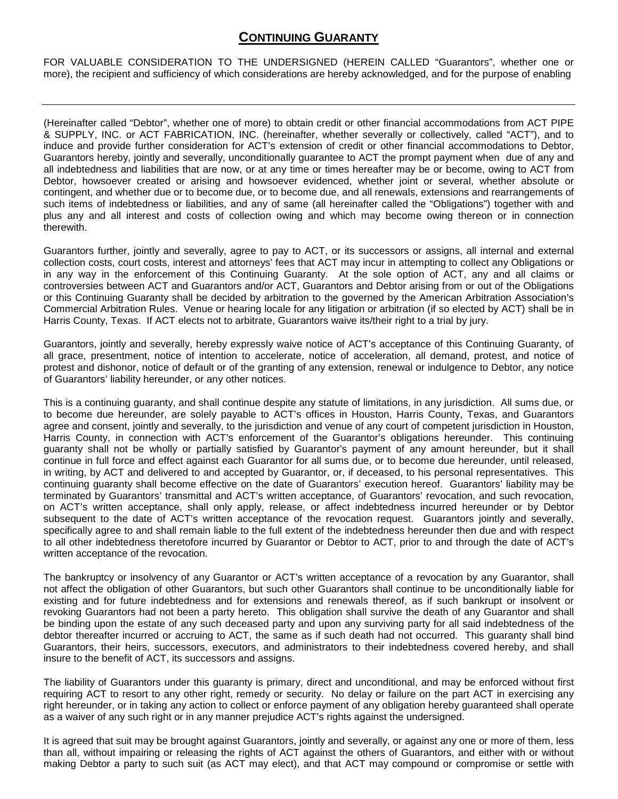## **CONTINUING GUARANTY**

FOR VALUABLE CONSIDERATION TO THE UNDERSIGNED (HEREIN CALLED "Guarantors", whether one or more), the recipient and sufficiency of which considerations are hereby acknowledged, and for the purpose of enabling

(Hereinafter called "Debtor", whether one of more) to obtain credit or other financial accommodations from ACT PIPE & SUPPLY, INC. or ACT FABRICATION, INC. (hereinafter, whether severally or collectively, called "ACT"), and to induce and provide further consideration for ACT's extension of credit or other financial accommodations to Debtor, Guarantors hereby, jointly and severally, unconditionally guarantee to ACT the prompt payment when due of any and all indebtedness and liabilities that are now, or at any time or times hereafter may be or become, owing to ACT from Debtor, howsoever created or arising and howsoever evidenced, whether joint or several, whether absolute or contingent, and whether due or to become due, or to become due, and all renewals, extensions and rearrangements of such items of indebtedness or liabilities, and any of same (all hereinafter called the "Obligations") together with and plus any and all interest and costs of collection owing and which may become owing thereon or in connection therewith.

Guarantors further, jointly and severally, agree to pay to ACT, or its successors or assigns, all internal and external collection costs, court costs, interest and attorneys' fees that ACT may incur in attempting to collect any Obligations or in any way in the enforcement of this Continuing Guaranty. At the sole option of ACT, any and all claims or controversies between ACT and Guarantors and/or ACT, Guarantors and Debtor arising from or out of the Obligations or this Continuing Guaranty shall be decided by arbitration to the governed by the American Arbitration Association's Commercial Arbitration Rules. Venue or hearing locale for any litigation or arbitration (if so elected by ACT) shall be in Harris County, Texas. If ACT elects not to arbitrate, Guarantors waive its/their right to a trial by jury.

Guarantors, jointly and severally, hereby expressly waive notice of ACT's acceptance of this Continuing Guaranty, of all grace, presentment, notice of intention to accelerate, notice of acceleration, all demand, protest, and notice of protest and dishonor, notice of default or of the granting of any extension, renewal or indulgence to Debtor, any notice of Guarantors' liability hereunder, or any other notices.

This is a continuing guaranty, and shall continue despite any statute of limitations, in any jurisdiction. All sums due, or to become due hereunder, are solely payable to ACT's offices in Houston, Harris County, Texas, and Guarantors agree and consent, jointly and severally, to the jurisdiction and venue of any court of competent jurisdiction in Houston, Harris County, in connection with ACT's enforcement of the Guarantor's obligations hereunder. This continuing guaranty shall not be wholly or partially satisfied by Guarantor's payment of any amount hereunder, but it shall continue in full force and effect against each Guarantor for all sums due, or to become due hereunder, until released, in writing, by ACT and delivered to and accepted by Guarantor, or, if deceased, to his personal representatives. This continuing guaranty shall become effective on the date of Guarantors' execution hereof. Guarantors' liability may be terminated by Guarantors' transmittal and ACT's written acceptance, of Guarantors' revocation, and such revocation, on ACT's written acceptance, shall only apply, release, or affect indebtedness incurred hereunder or by Debtor subsequent to the date of ACT's written acceptance of the revocation request. Guarantors jointly and severally, specifically agree to and shall remain liable to the full extent of the indebtedness hereunder then due and with respect to all other indebtedness theretofore incurred by Guarantor or Debtor to ACT, prior to and through the date of ACT's written acceptance of the revocation.

The bankruptcy or insolvency of any Guarantor or ACT's written acceptance of a revocation by any Guarantor, shall not affect the obligation of other Guarantors, but such other Guarantors shall continue to be unconditionally liable for existing and for future indebtedness and for extensions and renewals thereof, as if such bankrupt or insolvent or revoking Guarantors had not been a party hereto. This obligation shall survive the death of any Guarantor and shall be binding upon the estate of any such deceased party and upon any surviving party for all said indebtedness of the debtor thereafter incurred or accruing to ACT, the same as if such death had not occurred. This guaranty shall bind Guarantors, their heirs, successors, executors, and administrators to their indebtedness covered hereby, and shall insure to the benefit of ACT, its successors and assigns.

The liability of Guarantors under this guaranty is primary, direct and unconditional, and may be enforced without first requiring ACT to resort to any other right, remedy or security. No delay or failure on the part ACT in exercising any right hereunder, or in taking any action to collect or enforce payment of any obligation hereby guaranteed shall operate as a waiver of any such right or in any manner prejudice ACT's rights against the undersigned.

It is agreed that suit may be brought against Guarantors, jointly and severally, or against any one or more of them, less than all, without impairing or releasing the rights of ACT against the others of Guarantors, and either with or without making Debtor a party to such suit (as ACT may elect), and that ACT may compound or compromise or settle with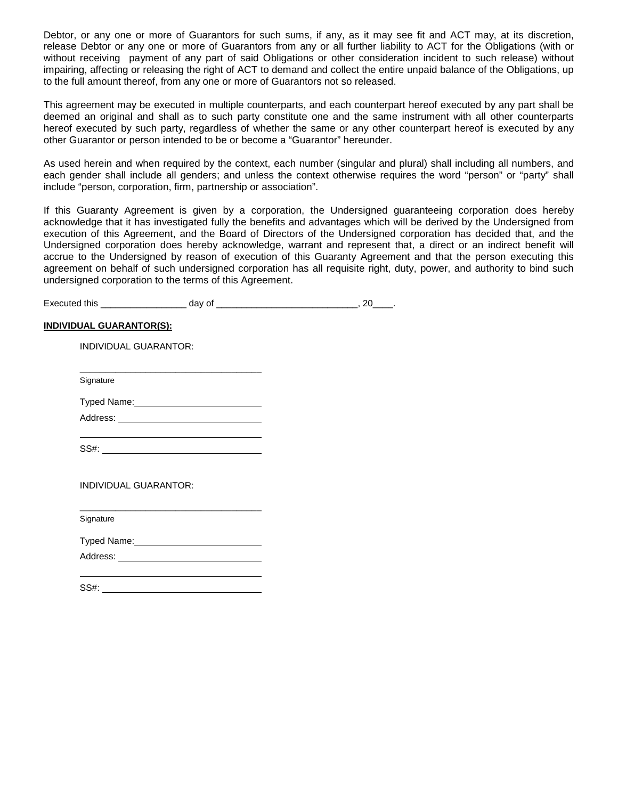Debtor, or any one or more of Guarantors for such sums, if any, as it may see fit and ACT may, at its discretion, release Debtor or any one or more of Guarantors from any or all further liability to ACT for the Obligations (with or without receiving payment of any part of said Obligations or other consideration incident to such release) without impairing, affecting or releasing the right of ACT to demand and collect the entire unpaid balance of the Obligations, up to the full amount thereof, from any one or more of Guarantors not so released.

This agreement may be executed in multiple counterparts, and each counterpart hereof executed by any part shall be deemed an original and shall as to such party constitute one and the same instrument with all other counterparts hereof executed by such party, regardless of whether the same or any other counterpart hereof is executed by any other Guarantor or person intended to be or become a "Guarantor" hereunder.

As used herein and when required by the context, each number (singular and plural) shall including all numbers, and each gender shall include all genders; and unless the context otherwise requires the word "person" or "party" shall include "person, corporation, firm, partnership or association".

If this Guaranty Agreement is given by a corporation, the Undersigned guaranteeing corporation does hereby acknowledge that it has investigated fully the benefits and advantages which will be derived by the Undersigned from execution of this Agreement, and the Board of Directors of the Undersigned corporation has decided that, and the Undersigned corporation does hereby acknowledge, warrant and represent that, a direct or an indirect benefit will accrue to the Undersigned by reason of execution of this Guaranty Agreement and that the person executing this agreement on behalf of such undersigned corporation has all requisite right, duty, power, and authority to bind such undersigned corporation to the terms of this Agreement.

Executed this \_\_\_\_\_\_\_\_\_\_\_\_\_\_\_\_\_ day of \_\_\_\_\_\_\_\_\_\_\_\_\_\_\_\_\_\_\_\_\_\_\_\_\_\_\_\_, 20\_\_\_\_.

#### **INDIVIDUAL GUARANTOR(S):**

INDIVIDUAL GUARANTOR:

Signature

Typed Name:

Address: **Address: Address: Address: Address: Address: Address: Address: Address: Address: Address: Address: Address: Address: Address: Address: Address: Address: Address: Address: Add** 

\_\_\_\_\_\_\_\_\_\_\_\_\_\_\_\_\_\_\_\_\_\_\_\_\_\_\_\_\_\_\_\_\_\_\_\_

SS#:

INDIVIDUAL GUARANTOR:

Signature

Typed Name:

Address: **Address: Address: Address: Address: Address: Address: Address: Address: Address: Address: Address: Address: Address: Address: Address: Address: Address: Address: Address: Add** 

\_\_\_\_\_\_\_\_\_\_\_\_\_\_\_\_\_\_\_\_\_\_\_\_\_\_\_\_\_\_\_\_\_\_\_\_

SS#: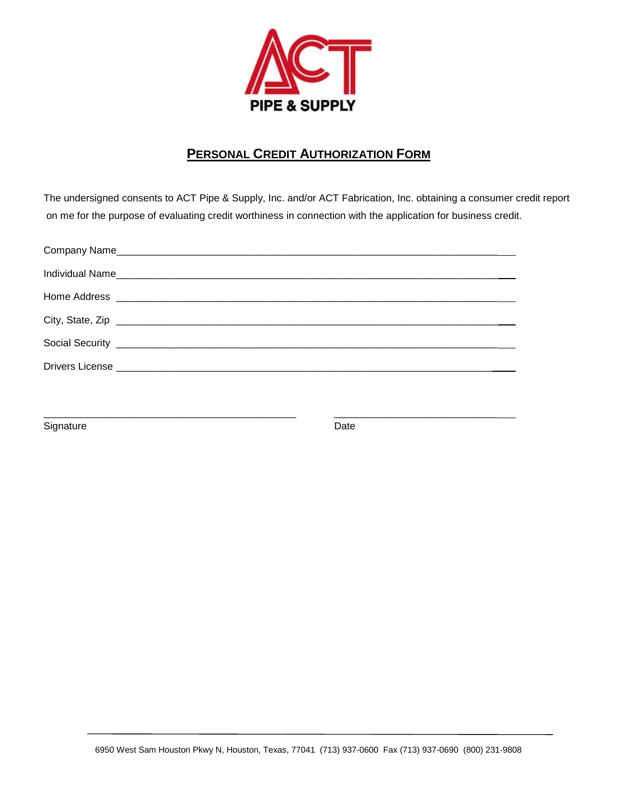

## **PERSONAL CREDIT AUTHORIZATION FORM**

The undersigned consents to ACT Pipe & Supply, Inc. and/or ACT Fabrication, Inc. obtaining a consumer credit report on me for the purpose of evaluating credit worthiness in connection with the application for business credit.

\_\_\_\_\_\_\_\_\_\_\_\_\_\_\_\_\_\_\_\_\_\_\_\_\_\_\_\_\_\_\_\_\_\_\_\_\_\_\_\_\_\_\_\_\_ \_\_\_\_\_\_\_\_\_\_\_\_\_\_\_\_\_\_\_\_\_\_\_\_\_\_\_\_\_

Signature Date Date Date